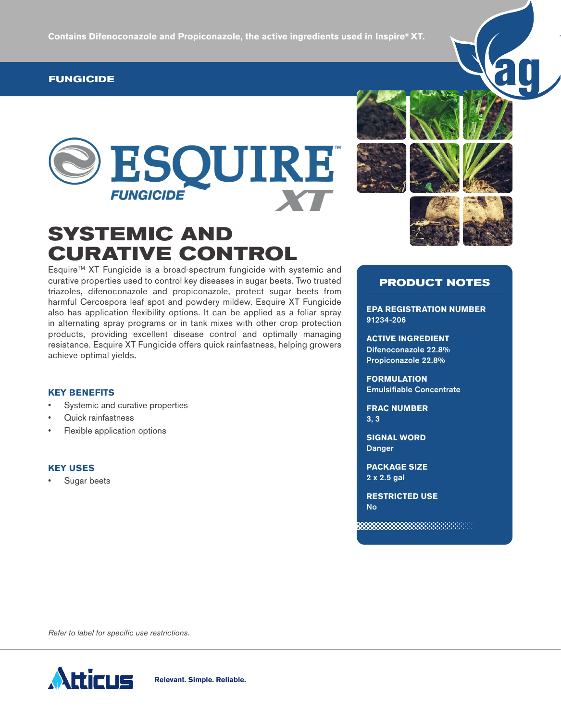## **FUNGICIDE**





# **SYSTEMIC AND CURATIVE CONTROL**

EsquireTM XT Fungicide is a broad-spectrum fungicide with systemic and curative properties used to control key diseases in sugar beets. Two trusted triazoles, difenoconazole and propiconazole, protect sugar beets from harmful Cercospora leaf spot and powdery mildew. Esquire XT Fungicide also has application flexibility options. It can be applied as a foliar spray in alternating spray programs or in tank mixes with other crop protection products, providing excellent disease control and optimally managing resistance. Esquire XT Fungicide offers quick rainfastness, helping growers achieve optimal yields.

# **PRODUCT NOTES**

**EPA REGISTRATION NUMBER**  91234-206

**ACTIVE INGREDIENT**  Difenoconazole 22.8% Propiconazole 22.8%

**FORMULATION**  Emulsifiable Concentrate

**FRAC NUMBER**  3, 3

**SIGNAL WORD**  Danger

**PACKAGE SIZE**  2 x 2.5 gal

**RESTRICTED USE** No

## **KEY BENEFITS**

- Systemic and curative properties
- Quick rainfastness
- Flexible application options

#### **KEY USES**

Sugar beets

*Refer to label for specific use restrictions.*